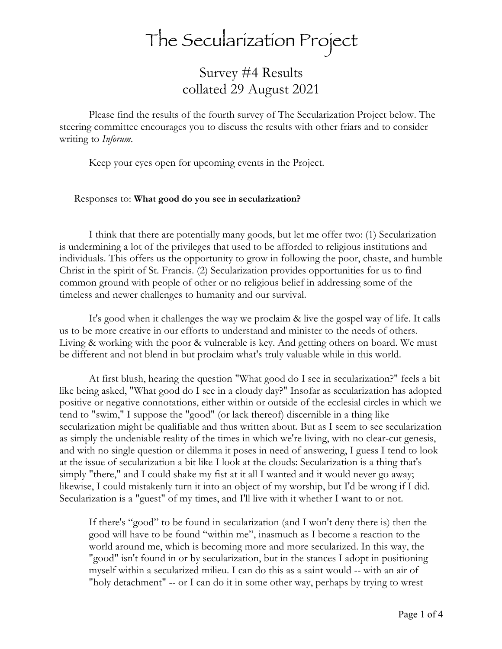## The Secularization Project

Survey #4 Results collated 29 August 2021

Please find the results of the fourth survey of The Secularization Project below. The steering committee encourages you to discuss the results with other friars and to consider writing to *Inforum*.

Keep your eyes open for upcoming events in the Project.

## Responses to: **What good do you see in secularization?**

I think that there are potentially many goods, but let me offer two: (1) Secularization is undermining a lot of the privileges that used to be afforded to religious institutions and individuals. This offers us the opportunity to grow in following the poor, chaste, and humble Christ in the spirit of St. Francis. (2) Secularization provides opportunities for us to find common ground with people of other or no religious belief in addressing some of the timeless and newer challenges to humanity and our survival.

It's good when it challenges the way we proclaim & live the gospel way of life. It calls us to be more creative in our efforts to understand and minister to the needs of others. Living & working with the poor & vulnerable is key. And getting others on board. We must be different and not blend in but proclaim what's truly valuable while in this world.

At first blush, hearing the question "What good do I see in secularization?" feels a bit like being asked, "What good do I see in a cloudy day?" Insofar as secularization has adopted positive or negative connotations, either within or outside of the ecclesial circles in which we tend to "swim," I suppose the "good" (or lack thereof) discernible in a thing like secularization might be qualifiable and thus written about. But as I seem to see secularization as simply the undeniable reality of the times in which we're living, with no clear-cut genesis, and with no single question or dilemma it poses in need of answering, I guess I tend to look at the issue of secularization a bit like I look at the clouds: Secularization is a thing that's simply "there," and I could shake my fist at it all I wanted and it would never go away; likewise, I could mistakenly turn it into an object of my worship, but I'd be wrong if I did. Secularization is a "guest" of my times, and I'll live with it whether I want to or not.

If there's "good" to be found in secularization (and I won't deny there is) then the good will have to be found "within me", inasmuch as I become a reaction to the world around me, which is becoming more and more secularized. In this way, the "good" isn't found in or by secularization, but in the stances I adopt in positioning myself within a secularized milieu. I can do this as a saint would -- with an air of "holy detachment" -- or I can do it in some other way, perhaps by trying to wrest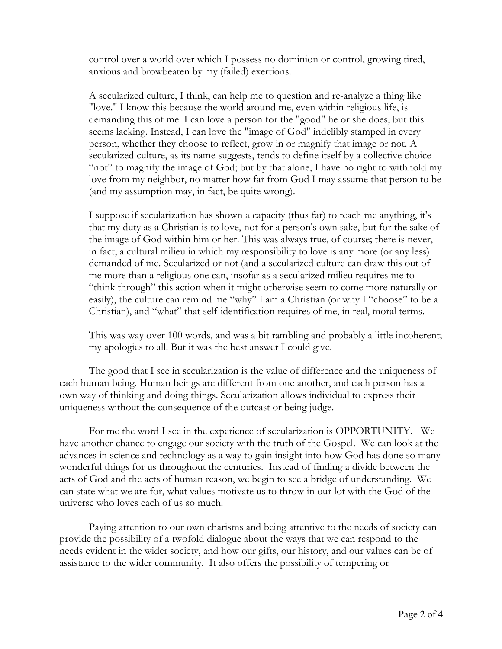control over a world over which I possess no dominion or control, growing tired, anxious and browbeaten by my (failed) exertions.

A secularized culture, I think, can help me to question and re-analyze a thing like "love." I know this because the world around me, even within religious life, is demanding this of me. I can love a person for the "good" he or she does, but this seems lacking. Instead, I can love the "image of God" indelibly stamped in every person, whether they choose to reflect, grow in or magnify that image or not. A secularized culture, as its name suggests, tends to define itself by a collective choice "not" to magnify the image of God; but by that alone, I have no right to withhold my love from my neighbor, no matter how far from God I may assume that person to be (and my assumption may, in fact, be quite wrong).

I suppose if secularization has shown a capacity (thus far) to teach me anything, it's that my duty as a Christian is to love, not for a person's own sake, but for the sake of the image of God within him or her. This was always true, of course; there is never, in fact, a cultural milieu in which my responsibility to love is any more (or any less) demanded of me. Secularized or not (and a secularized culture can draw this out of me more than a religious one can, insofar as a secularized milieu requires me to "think through" this action when it might otherwise seem to come more naturally or easily), the culture can remind me "why" I am a Christian (or why I "choose" to be a Christian), and "what" that self-identification requires of me, in real, moral terms.

This was way over 100 words, and was a bit rambling and probably a little incoherent; my apologies to all! But it was the best answer I could give.

The good that I see in secularization is the value of difference and the uniqueness of each human being. Human beings are different from one another, and each person has a own way of thinking and doing things. Secularization allows individual to express their uniqueness without the consequence of the outcast or being judge.

For me the word I see in the experience of secularization is OPPORTUNITY. We have another chance to engage our society with the truth of the Gospel. We can look at the advances in science and technology as a way to gain insight into how God has done so many wonderful things for us throughout the centuries. Instead of finding a divide between the acts of God and the acts of human reason, we begin to see a bridge of understanding. We can state what we are for, what values motivate us to throw in our lot with the God of the universe who loves each of us so much.

Paying attention to our own charisms and being attentive to the needs of society can provide the possibility of a twofold dialogue about the ways that we can respond to the needs evident in the wider society, and how our gifts, our history, and our values can be of assistance to the wider community. It also offers the possibility of tempering or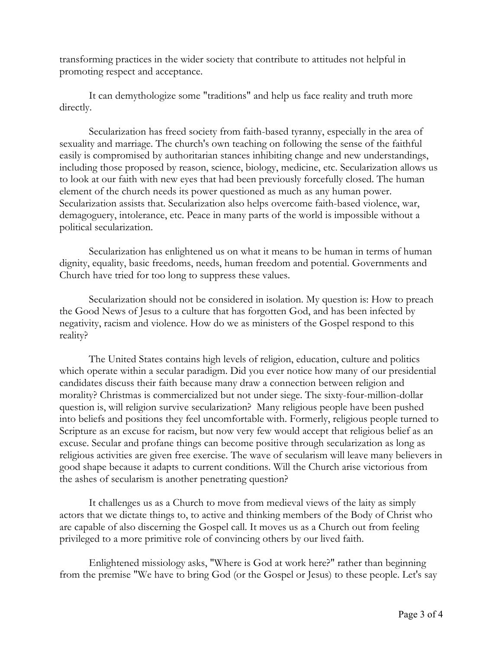transforming practices in the wider society that contribute to attitudes not helpful in promoting respect and acceptance.

It can demythologize some "traditions" and help us face reality and truth more directly.

Secularization has freed society from faith-based tyranny, especially in the area of sexuality and marriage. The church's own teaching on following the sense of the faithful easily is compromised by authoritarian stances inhibiting change and new understandings, including those proposed by reason, science, biology, medicine, etc. Secularization allows us to look at our faith with new eyes that had been previously forcefully closed. The human element of the church needs its power questioned as much as any human power. Secularization assists that. Secularization also helps overcome faith-based violence, war, demagoguery, intolerance, etc. Peace in many parts of the world is impossible without a political secularization.

Secularization has enlightened us on what it means to be human in terms of human dignity, equality, basic freedoms, needs, human freedom and potential. Governments and Church have tried for too long to suppress these values.

Secularization should not be considered in isolation. My question is: How to preach the Good News of Jesus to a culture that has forgotten God, and has been infected by negativity, racism and violence. How do we as ministers of the Gospel respond to this reality?

The United States contains high levels of religion, education, culture and politics which operate within a secular paradigm. Did you ever notice how many of our presidential candidates discuss their faith because many draw a connection between religion and morality? Christmas is commercialized but not under siege. The sixty-four-million-dollar question is, will religion survive secularization? Many religious people have been pushed into beliefs and positions they feel uncomfortable with. Formerly, religious people turned to Scripture as an excuse for racism, but now very few would accept that religious belief as an excuse. Secular and profane things can become positive through secularization as long as religious activities are given free exercise. The wave of secularism will leave many believers in good shape because it adapts to current conditions. Will the Church arise victorious from the ashes of secularism is another penetrating question?

It challenges us as a Church to move from medieval views of the laity as simply actors that we dictate things to, to active and thinking members of the Body of Christ who are capable of also discerning the Gospel call. It moves us as a Church out from feeling privileged to a more primitive role of convincing others by our lived faith.

Enlightened missiology asks, "Where is God at work here?" rather than beginning from the premise "We have to bring God (or the Gospel or Jesus) to these people. Let's say